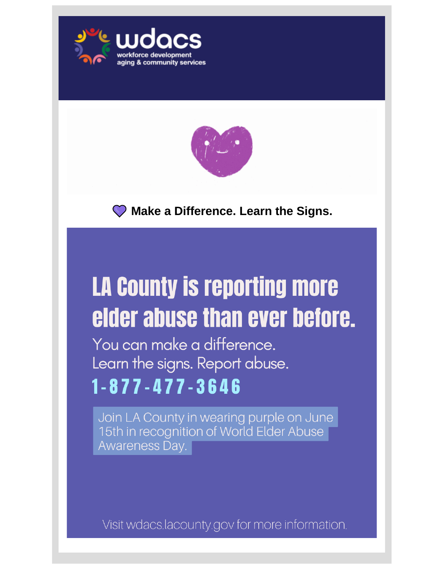



**Make a Difference. Learn the Signs.**

# **LA County is reporting more** elder abuse than ever before.

You can make a difference. Learn the signs. Report abuse.  $1 - 877 - 477 - 3646$ 

Join LA County in wearing purple on June 15th in recognition of World Elder Abuse Awareness Day.

Visit wdacs.lacounty.gov for more information.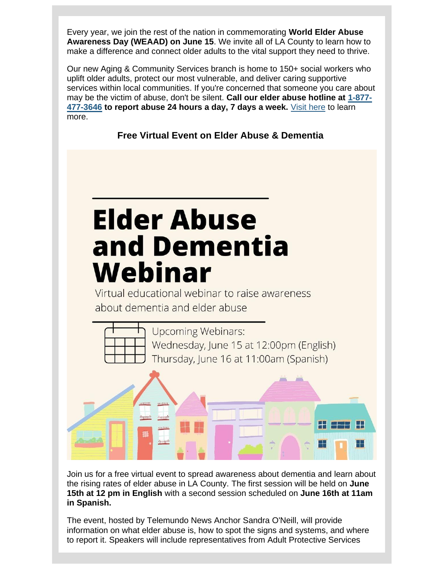Every year, we join the rest of the nation in commemorating **World Elder Abuse Awareness Day (WEAAD) on June 15**. We invite all of LA County to learn how to make a difference and connect older adults to the vital support they need to thrive.

Our new Aging & Community Services branch is home to 150+ social workers who uplift older adults, protect our most vulnerable, and deliver caring supportive services within local communities. If you're concerned that someone you care about may be the victim of abuse, don't be silent. **Call our elder abuse hotline at [1-877-](tel:8774773646) [477-3646](tel:8774773646) to report abuse 24 hours a day, 7 days a week.** [Visit here](https://nam12.safelinks.protection.outlook.com/?url=https%3A%2F%2Flnks.gd%2Fl%2FeyJhbGciOiJIUzI1NiJ9.eyJidWxsZXRpbl9saW5rX2lkIjoxMDAsInVyaSI6ImJwMjpjbGljayIsImJ1bGxldGluX2lkIjoiMjAyMjA2MTUuNTk0MDA3NzEiLCJ1cmwiOiJodHRwczovL3dkYWNzLmxhY291bnR5Lmdvdi9zZXJ2aWNlcy9vbGRlci1kZXBlbmRlbnQtYWR1bHQtc2VydmljZXMvYWR1bHQtcHJvdGVjdGl2ZS1zZXJ2aWNlcy1hcHMvP3V0bV9jb250ZW50PSZ1dG1fbWVkaXVtPWVtYWlsJnV0bV9uYW1lPSZ1dG1fc291cmNlPWdvdmRlbGl2ZXJ5JnV0bV90ZXJtPSJ9.hT1obzk4pbDETNLNOo2uCi6Ua5j6Bv3i9gTTeAOZUqk%2Fs%2F1843900806%2Fbr%2F132956903277-l&data=05%7C01%7C%7C3f9029772d77409827bc08da4fa7dfb9%7C84df9e7fe9f640afb435aaaaaaaaaaaa%7C1%7C0%7C637909879683105269%7CUnknown%7CTWFpbGZsb3d8eyJWIjoiMC4wLjAwMDAiLCJQIjoiV2luMzIiLCJBTiI6Ik1haWwiLCJXVCI6Mn0%3D%7C3000%7C%7C%7C&sdata=aoOmDIDLmwkJ7jwdkvU0IbhpwOKfB5vMMdHalQTVcag%3D&reserved=0) to learn more.

**Free Virtual Event on Elder Abuse & Dementia**

# **Elder Abuse** and Dementia Webinar

Virtual educational webinar to raise awareness about dementia and elder abuse.



Join us for a free virtual event to spread awareness about dementia and learn about the rising rates of elder abuse in LA County. The first session will be held on **June 15th at 12 pm in English** with a second session scheduled on **June 16th at 11am in Spanish.**

The event, hosted by Telemundo News Anchor Sandra O'Neill, will provide information on what elder abuse is, how to spot the signs and systems, and where to report it. Speakers will include representatives from Adult Protective Services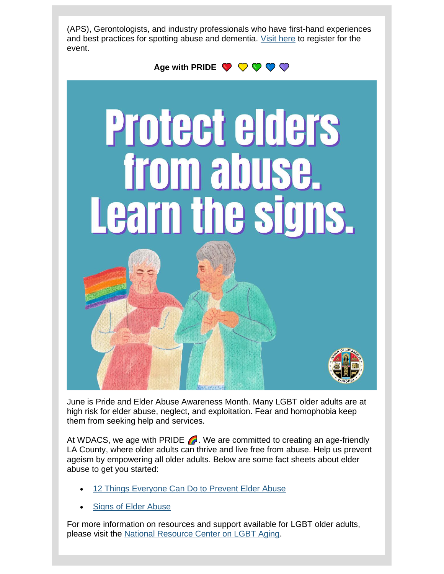(APS), Gerontologists, and industry professionals who have first-hand experiences and best practices for spotting abuse and dementia. [Visit here](https://nam12.safelinks.protection.outlook.com/?url=https%3A%2F%2Flnks.gd%2Fl%2FeyJhbGciOiJIUzI1NiJ9.eyJidWxsZXRpbl9saW5rX2lkIjoxMDEsInVyaSI6ImJwMjpjbGljayIsImJ1bGxldGluX2lkIjoiMjAyMjA2MTUuNTk0MDA3NzEiLCJ1cmwiOiJodHRwczovL3VzMDJ3ZWIuem9vbS51cy93ZWJpbmFyL3JlZ2lzdGVyLzkzMTY1NDg2ODA2MzcvV05fR0JlV2EwVm1UeFdETUJBQ05nSjBVZz91dG1fY29udGVudD0mdXRtX21lZGl1bT1lbWFpbCZ1dG1fbmFtZT0mdXRtX3NvdXJjZT1nb3ZkZWxpdmVyeSZ1dG1fdGVybT0ifQ.gAyHzHbon9xHk48hcOusQyyhi3g5RFPyYror6E2OfQg%2Fs%2F1843900806%2Fbr%2F132956903277-l&data=05%7C01%7C%7C3f9029772d77409827bc08da4fa7dfb9%7C84df9e7fe9f640afb435aaaaaaaaaaaa%7C1%7C0%7C637909879683105269%7CUnknown%7CTWFpbGZsb3d8eyJWIjoiMC4wLjAwMDAiLCJQIjoiV2luMzIiLCJBTiI6Ik1haWwiLCJXVCI6Mn0%3D%7C3000%7C%7C%7C&sdata=VtMk1VG0j3cuAs6hdfTGdF97sPGGRrD6U4zS7LjF%2FdY%3D&reserved=0) to register for the event.



June is Pride and Elder Abuse Awareness Month. Many LGBT older adults are at high risk for elder abuse, neglect, and exploitation. Fear and homophobia keep them from seeking help and services.

At WDACS, we age with PRIDE  $\bigcap$ . We are committed to creating an age-friendly LA County, where older adults can thrive and live free from abuse. Help us prevent ageism by empowering all older adults. Below are some fact sheets about elder abuse to get you started:

- [12 Things Everyone Can Do to Prevent](https://nam12.safelinks.protection.outlook.com/?url=https%3A%2F%2Flnks.gd%2Fl%2FeyJhbGciOiJIUzI1NiJ9.eyJidWxsZXRpbl9saW5rX2lkIjoxMDIsInVyaSI6ImJwMjpjbGljayIsImJ1bGxldGluX2lkIjoiMjAyMjA2MTUuNTk0MDA3NzEiLCJ1cmwiOiJodHRwczovL2xua3MuZ2QvbC9leUpoYkdjaU9pSklVekkxTmlKOS5leUppZFd4c1pYUnBibDlzYVc1clgybGtJam94TURBc0luVnlhU0k2SW1Kd01qcGpiR2xqYXlJc0ltSjFiR3hsZEdsdVgybGtJam9pTWpBeU1UQTJNRFF1TkRFMU1UTTJNakVpTENKMWNtd2lPaUpvZEhSd09pOHZaV3hrWlhKdGFYTjBjbVZoZEcxbGJuUXVkWE5qTG1Wa2RTOTNjQzFqYjI1MFpXNTBMM1Z3Ykc5aFpITXZNakF4T0M4d015OU9RMFZCWHpFeWRHaHBibWR6WHpVd09DMHhMbkJrWmo5MWRHMWZZMjl1ZEdWdWREMG1kWFJ0WDIxbFpHbDFiVDFsYldGcGJDWjFkRzFmYm1GdFpUMG1kWFJ0WDNOdmRYSmpaVDFuYjNaa1pXeHBkbVZ5ZVNaMWRHMWZkR1Z5YlQwaWZRLjg2MnJGLTBwWmNlaEFTOG41UVJCYTFScGpNV0dRUEY1dDJrRk00VU5lR1Uvcy83NTI1MjI0MTAvYnIvMTA3NDg5NjkyNDIyLWw_dXRtX2NvbnRlbnQ9JnV0bV9tZWRpdW09ZW1haWwmdXRtX25hbWU9JnV0bV9zb3VyY2U9Z292ZGVsaXZlcnkmdXRtX3Rlcm09In0.Pvf4bYJBRI72kLYtslRLxo_T7Z87wCiybOSbR1spd90%2Fs%2F1843900806%2Fbr%2F132956903277-l&data=05%7C01%7C%7C3f9029772d77409827bc08da4fa7dfb9%7C84df9e7fe9f640afb435aaaaaaaaaaaa%7C1%7C0%7C637909879683105269%7CUnknown%7CTWFpbGZsb3d8eyJWIjoiMC4wLjAwMDAiLCJQIjoiV2luMzIiLCJBTiI6Ik1haWwiLCJXVCI6Mn0%3D%7C3000%7C%7C%7C&sdata=QVCPxZGdk5Y1RulCuQqFkl39QIIh7i1nOpo5cPUPuuo%3D&reserved=0) Elder Abuse
- Signs of Elder [Abuse](https://nam12.safelinks.protection.outlook.com/?url=https%3A%2F%2Flnks.gd%2Fl%2FeyJhbGciOiJIUzI1NiJ9.eyJidWxsZXRpbl9saW5rX2lkIjoxMDMsInVyaSI6ImJwMjpjbGljayIsImJ1bGxldGluX2lkIjoiMjAyMjA2MTUuNTk0MDA3NzEiLCJ1cmwiOiJodHRwczovL2xua3MuZ2QvbC9leUpoYkdjaU9pSklVekkxTmlKOS5leUppZFd4c1pYUnBibDlzYVc1clgybGtJam94TURFc0luVnlhU0k2SW1Kd01qcGpiR2xqYXlJc0ltSjFiR3hsZEdsdVgybGtJam9pTWpBeU1UQTJNRFF1TkRFMU1UTTJNakVpTENKMWNtd2lPaUpvZEhSd09pOHZaV3hrWlhKdGFYTjBjbVZoZEcxbGJuUXVkWE5qTG1Wa2RTOTNjQzFqYjI1MFpXNTBMM1Z3Ykc5aFpITXZNakF5TUM4d09TOU9RMFZCWDFOcFoyNXpSVUV1Y0dSbVAzVjBiVjlqYjI1MFpXNTBQU1oxZEcxZmJXVmthWFZ0UFdWdFlXbHNKblYwYlY5dVlXMWxQU1oxZEcxZmMyOTFjbU5sUFdkdmRtUmxiR2wyWlhKNUpuVjBiVjkwWlhKdFBTSjkuTjBfUDVfNDE1RFFqOURRekE4azBfZENmcERJOC1qTG9NMWhxNUFQeE84VS9zLzc1MjUyMjQxMC9ici8xMDc0ODk2OTI0MjItbD91dG1fY29udGVudD0mdXRtX21lZGl1bT1lbWFpbCZ1dG1fbmFtZT0mdXRtX3NvdXJjZT1nb3ZkZWxpdmVyeSZ1dG1fdGVybT0ifQ.RDCiUCN3PgLhScs66fFVLoALG-3XjPBSR59t3LVZOxY%2Fs%2F1843900806%2Fbr%2F132956903277-l&data=05%7C01%7C%7C3f9029772d77409827bc08da4fa7dfb9%7C84df9e7fe9f640afb435aaaaaaaaaaaa%7C1%7C0%7C637909879683105269%7CUnknown%7CTWFpbGZsb3d8eyJWIjoiMC4wLjAwMDAiLCJQIjoiV2luMzIiLCJBTiI6Ik1haWwiLCJXVCI6Mn0%3D%7C3000%7C%7C%7C&sdata=sxdQymWpPgFCSji7tSBdtVIueLUinzlLYagQYHMvSLw%3D&reserved=0)

For more information on resources and support available for LGBT older adults, please visit the [National Resource Center on LGBT Aging.](https://nam12.safelinks.protection.outlook.com/?url=https%3A%2F%2Flnks.gd%2Fl%2FeyJhbGciOiJIUzI1NiJ9.eyJidWxsZXRpbl9saW5rX2lkIjoxMDQsInVyaSI6ImJwMjpjbGljayIsImJ1bGxldGluX2lkIjoiMjAyMjA2MTUuNTk0MDA3NzEiLCJ1cmwiOiJodHRwczovL2xua3MuZ2QvbC9leUpoYkdjaU9pSklVekkxTmlKOS5leUppZFd4c1pYUnBibDlzYVc1clgybGtJam94TURZc0luVnlhU0k2SW1Kd01qcGpiR2xqYXlJc0ltSjFiR3hsZEdsdVgybGtJam9pTWpBeU1UQTJNRFF1TkRFMU1UTTJNakVpTENKMWNtd2lPaUpvZEhSd2N6b3ZMM2QzZHk1c1oySjBZV2RwYm1kalpXNTBaWEl1YjNKbkx6OTFkRzFmWTI5dWRHVnVkRDBtZFhSdFgyMWxaR2wxYlQxbGJXRnBiQ1oxZEcxZmJtRnRaVDBtZFhSdFgzTnZkWEpqWlQxbmIzWmtaV3hwZG1WeWVTWjFkRzFmZEdWeWJUMGlmUS43bnJJbHE0d0FxYVN1WkszMXpmdE5YT3Vzb0pVRW5FNk05bFNsOGg2dWxVL3MvNzUyNTIyNDEwL2JyLzEwNzQ4OTY5MjQyMi1sP3V0bV9jb250ZW50PSZ1dG1fbWVkaXVtPWVtYWlsJnV0bV9uYW1lPSZ1dG1fc291cmNlPWdvdmRlbGl2ZXJ5JnV0bV90ZXJtPSJ9.tLsVBvG_qfuTUJ964JPf-B2giFKshUnSnTr4frGvGr8%2Fs%2F1843900806%2Fbr%2F132956903277-l&data=05%7C01%7C%7C3f9029772d77409827bc08da4fa7dfb9%7C84df9e7fe9f640afb435aaaaaaaaaaaa%7C1%7C0%7C637909879683105269%7CUnknown%7CTWFpbGZsb3d8eyJWIjoiMC4wLjAwMDAiLCJQIjoiV2luMzIiLCJBTiI6Ik1haWwiLCJXVCI6Mn0%3D%7C3000%7C%7C%7C&sdata=%2FcxZNROMkF2vORfW02afALah223qQafM7UjKj6drxEQ%3D&reserved=0)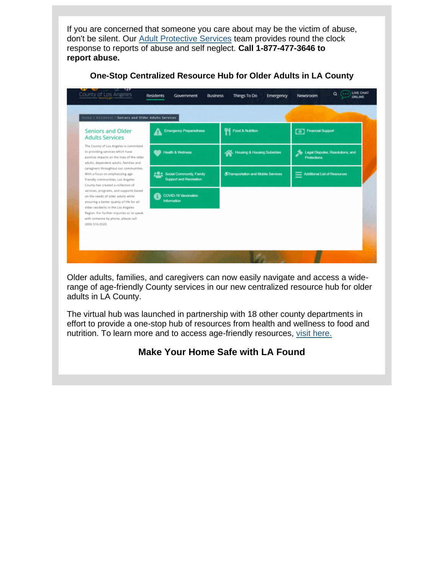If you are concerned that someone you care about may be the victim of abuse, don't be silent. Our [Adult Protective Services](https://nam12.safelinks.protection.outlook.com/?url=https%3A%2F%2Flnks.gd%2Fl%2FeyJhbGciOiJIUzI1NiJ9.eyJidWxsZXRpbl9saW5rX2lkIjoxMDUsInVyaSI6ImJwMjpjbGljayIsImJ1bGxldGluX2lkIjoiMjAyMjA2MTUuNTk0MDA3NzEiLCJ1cmwiOiJodHRwczovL2xua3MuZ2QvbC9leUpoYkdjaU9pSklVekkxTmlKOS5leUppZFd4c1pYUnBibDlzYVc1clgybGtJam94TURjc0luVnlhU0k2SW1Kd01qcGpiR2xqYXlJc0ltSjFiR3hsZEdsdVgybGtJam9pTWpBeU1UQTJNRFF1TkRFMU1UTTJNakVpTENKMWNtd2lPaUpvZEhSd2N6b3ZMM2RrWVdOekxteGhZMjkxYm5SNUxtZHZkaTl6WlhKMmFXTmxjeTl2YkdSbGNpMWtaWEJsYm1SbGJuUXRZV1IxYkhRdGMyVnlkbWxqWlhNdllXUjFiSFF0Y0hKdmRHVmpkR2wyWlMxelpYSjJhV05sY3kxaGNITXZQM1YwYlY5amIyNTBaVzUwUFNaMWRHMWZiV1ZrYVhWdFBXVnRZV2xzSm5WMGJWOXVZVzFsUFNaMWRHMWZjMjkxY21ObFBXZHZkbVJsYkdsMlpYSjVKblYwYlY5MFpYSnRQU0o5LnpLcmVzcUJxd2NmRzFyaWx3aTZuWU5vUnpPLUlOaERvNmlVd0EtUFFMRUkvcy83NTI1MjI0MTAvYnIvMTA3NDg5NjkyNDIyLWw_dXRtX2NvbnRlbnQ9JnV0bV9tZWRpdW09ZW1haWwmdXRtX25hbWU9JnV0bV9zb3VyY2U9Z292ZGVsaXZlcnkmdXRtX3Rlcm09In0.TV8luXuuIKhf3eg7IqiSwkJR5-uBBK-U0OA1k3Z_nMc%2Fs%2F1843900806%2Fbr%2F132956903277-l&data=05%7C01%7C%7C3f9029772d77409827bc08da4fa7dfb9%7C84df9e7fe9f640afb435aaaaaaaaaaaa%7C1%7C0%7C637909879683105269%7CUnknown%7CTWFpbGZsb3d8eyJWIjoiMC4wLjAwMDAiLCJQIjoiV2luMzIiLCJBTiI6Ik1haWwiLCJXVCI6Mn0%3D%7C3000%7C%7C%7C&sdata=Y%2FQ3IZsEF%2FGcsZ2gNAx8AmcDFoiVlGwjLGGSMIEUVPU%3D&reserved=0) team provides round the clock response to reports of abuse and self neglect. **Call 1-877-477-3646 to report abuse.**

| <b>Seniors and Older</b><br><b>Adults Services</b>                                                                                                                                                                                                 | <b>Emergency Preparedness</b>                                    | Food & Nutrition                               | <sup>0</sup> Financial Support                            |
|----------------------------------------------------------------------------------------------------------------------------------------------------------------------------------------------------------------------------------------------------|------------------------------------------------------------------|------------------------------------------------|-----------------------------------------------------------|
| The County of Los Angeles is committed<br>to providing services which have<br>positive impacts on the lives of the older<br>adults, dependent adults, families and                                                                                 | Health & Wellness                                                | <b>Housing &amp; Housing Subsidies</b><br>⋘    | So Legal Disputes, Resolutions, and<br><b>Protections</b> |
| caregivers throughout our communities.<br>With a focus on emphasizing age-<br>friendly communities, Los Angeles<br>County has created a collection of                                                                                              | <b>Social Community, Family</b><br><b>Support and Recreation</b> | <b>&amp;Transportation and Mobile Services</b> | Additional List of Resources                              |
| services, programs, and supports based<br>on the needs of older adults while<br>ensuring a better quality of life for all<br>older residents in the Los Angeles<br>Region. For further inquiries or to speak<br>with someone by phone, please call | COVID-19 Vaccination<br><b>Information</b>                       |                                                |                                                           |

### **One-Stop Centralized Resource Hub for Older Adults in LA County**

Older adults, families, and caregivers can now easily navigate and access a widerange of age-friendly County services in our new centralized resource hub for older adults in LA County.

The virtual hub was launched in partnership with 18 other county departments in effort to provide a one-stop hub of resources from health and wellness to food and nutrition. To learn more and to access age-friendly resources, [visit here.](https://nam12.safelinks.protection.outlook.com/?url=https%3A%2F%2Flnks.gd%2Fl%2FeyJhbGciOiJIUzI1NiJ9.eyJidWxsZXRpbl9saW5rX2lkIjoxMDYsInVyaSI6ImJwMjpjbGljayIsImJ1bGxldGluX2lkIjoiMjAyMjA2MTUuNTk0MDA3NzEiLCJ1cmwiOiJodHRwczovL2xhY291bnR5Lmdvdi9yZXNpZGVudHMvc2VuaW9ycy1vbGRlci1hZHVsdHMvP3V0bV9jb250ZW50PSZ1dG1fbWVkaXVtPWVtYWlsJnV0bV9uYW1lPSZ1dG1fc291cmNlPWdvdmRlbGl2ZXJ5JnV0bV90ZXJtPSJ9.aIDe2eY9YeQBdCLxgqrAreEB2Q-4sY3lBPPdu--HTlg%2Fs%2F1843900806%2Fbr%2F132956903277-l&data=05%7C01%7C%7C3f9029772d77409827bc08da4fa7dfb9%7C84df9e7fe9f640afb435aaaaaaaaaaaa%7C1%7C0%7C637909879683105269%7CUnknown%7CTWFpbGZsb3d8eyJWIjoiMC4wLjAwMDAiLCJQIjoiV2luMzIiLCJBTiI6Ik1haWwiLCJXVCI6Mn0%3D%7C3000%7C%7C%7C&sdata=IYCB25oB%2Fo7TDTMiookJxH8uvYluRSeOHHKgyq0o18E%3D&reserved=0)

## **Make Your Home Safe with LA Found**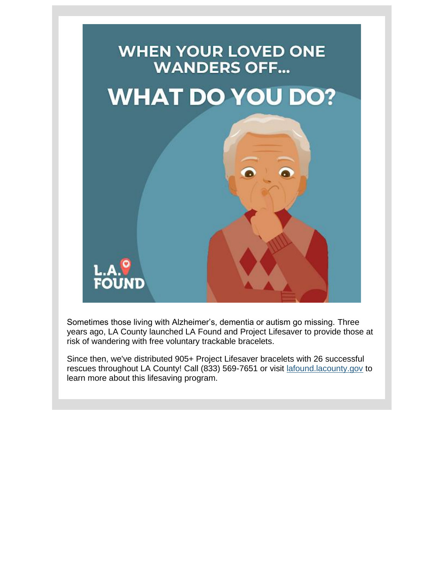

Sometimes those living with Alzheimer's, dementia or autism go missing. Three years ago, LA County launched LA Found and Project Lifesaver to provide those at risk of wandering with free voluntary trackable bracelets.

Since then, we've distributed 905+ Project Lifesaver bracelets with 26 successful rescues throughout LA County! Call (833) 569-7651 or visit [lafound.lacounty.gov](https://nam12.safelinks.protection.outlook.com/?url=https%3A%2F%2Flnks.gd%2Fl%2FeyJhbGciOiJIUzI1NiJ9.eyJidWxsZXRpbl9saW5rX2lkIjoxMDcsInVyaSI6ImJwMjpjbGljayIsImJ1bGxldGluX2lkIjoiMjAyMjA2MTUuNTk0MDA3NzEiLCJ1cmwiOiJodHRwczovL2xhZm91bmQubGFjb3VudHkuZ292P3V0bV9jb250ZW50PSZ1dG1fbWVkaXVtPWVtYWlsJnV0bV9uYW1lPSZ1dG1fc291cmNlPWdvdmRlbGl2ZXJ5JnV0bV90ZXJtPSJ9.uYTjkcDAwZvZNXqBHXqHW-29TBcBBdtgTZChv527-tg%2Fs%2F1843900806%2Fbr%2F132956903277-l&data=05%7C01%7C%7C3f9029772d77409827bc08da4fa7dfb9%7C84df9e7fe9f640afb435aaaaaaaaaaaa%7C1%7C0%7C637909879683105269%7CUnknown%7CTWFpbGZsb3d8eyJWIjoiMC4wLjAwMDAiLCJQIjoiV2luMzIiLCJBTiI6Ik1haWwiLCJXVCI6Mn0%3D%7C3000%7C%7C%7C&sdata=08MQ941yP2zFnsi3mGKs6JL2fXMGcIPOlVvHoZBb%2BRM%3D&reserved=0) to learn more about this lifesaving program.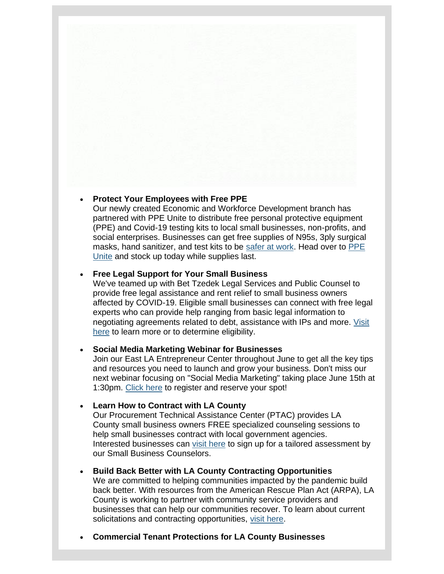#### • **Protect Your Employees with Free PPE**

Our newly created Economic and Workforce Development branch has partnered with PPE Unite to distribute free personal protective equipment (PPE) and Covid-19 testing kits to local small businesses, non-profits, and social enterprises. Businesses can get free supplies of N95s, 3ply surgical masks, hand sanitizer, and test kits to be [safer at work.](https://nam12.safelinks.protection.outlook.com/?url=https%3A%2F%2Flnks.gd%2Fl%2FeyJhbGciOiJIUzI1NiJ9.eyJidWxsZXRpbl9saW5rX2lkIjoxMDgsInVyaSI6ImJwMjpjbGljayIsImJ1bGxldGluX2lkIjoiMjAyMjA2MTUuNTk0MDA3NzEiLCJ1cmwiOiJodHRwczovL3d3dy5zYWZlcmF0d29yay5sYS8_dXRtX2NvbnRlbnQ9JnV0bV9tZWRpdW09ZW1haWwmdXRtX25hbWU9JnV0bV9zb3VyY2U9Z292ZGVsaXZlcnkmdXRtX3Rlcm09In0.cw4mA88JVmVKMoURk1d0mb2eJbffCIg49F7VasVB788%2Fs%2F1843900806%2Fbr%2F132956903277-l&data=05%7C01%7C%7C3f9029772d77409827bc08da4fa7dfb9%7C84df9e7fe9f640afb435aaaaaaaaaaaa%7C1%7C0%7C637909879683105269%7CUnknown%7CTWFpbGZsb3d8eyJWIjoiMC4wLjAwMDAiLCJQIjoiV2luMzIiLCJBTiI6Ik1haWwiLCJXVCI6Mn0%3D%7C3000%7C%7C%7C&sdata=klU8XF4zK%2BGtoCt0wXVbR0NX2ZWhY3gTmHb0NhV1B9I%3D&reserved=0) Head over to PPE [Unite](https://nam12.safelinks.protection.outlook.com/?url=https%3A%2F%2Flnks.gd%2Fl%2FeyJhbGciOiJIUzI1NiJ9.eyJidWxsZXRpbl9saW5rX2lkIjoxMDksInVyaSI6ImJwMjpjbGljayIsImJ1bGxldGluX2lkIjoiMjAyMjA2MTUuNTk0MDA3NzEiLCJ1cmwiOiJodHRwczovL3d3dy5wcGV1bml0ZS5vcmcvP3V0bV9jb250ZW50PSZ1dG1fbWVkaXVtPWVtYWlsJnV0bV9uYW1lPSZ1dG1fc291cmNlPWdvdmRlbGl2ZXJ5JnV0bV90ZXJtPSJ9.W6dtV-0RiV-PNJ_e__B6vDfm5E3nGqXMDA9pIWSfytM%2Fs%2F1843900806%2Fbr%2F132956903277-l&data=05%7C01%7C%7C3f9029772d77409827bc08da4fa7dfb9%7C84df9e7fe9f640afb435aaaaaaaaaaaa%7C1%7C0%7C637909879683105269%7CUnknown%7CTWFpbGZsb3d8eyJWIjoiMC4wLjAwMDAiLCJQIjoiV2luMzIiLCJBTiI6Ik1haWwiLCJXVCI6Mn0%3D%7C3000%7C%7C%7C&sdata=Ykh88c%2BUoR3ymKxlBJSkODIaU%2FxUv8oePOX9rJMB5Jg%3D&reserved=0) and stock up today while supplies last.

#### • **Free Legal Support for Your Small Business**

We've teamed up with Bet Tzedek Legal Services and Public Counsel to provide free legal assistance and rent relief to small business owners affected by COVID-19. Eligible small businesses can connect with free legal experts who can provide help ranging from basic legal information to negotiating agreements related to debt, assistance with IPs and more. [Visit](https://nam12.safelinks.protection.outlook.com/?url=https%3A%2F%2Flnks.gd%2Fl%2FeyJhbGciOiJIUzI1NiJ9.eyJidWxsZXRpbl9saW5rX2lkIjoxMTAsInVyaSI6ImJwMjpjbGljayIsImJ1bGxldGluX2lkIjoiMjAyMjA2MTUuNTk0MDA3NzEiLCJ1cmwiOiJodHRwczovL2xhbGVnYWxoZWxwLm9yZy8_dXRtX2NvbnRlbnQ9JnV0bV9tZWRpdW09ZW1haWwmdXRtX25hbWU9JnV0bV9zb3VyY2U9Z292ZGVsaXZlcnkmdXRtX3Rlcm09In0.vcnDNFi4509eQs3xwiFYHIQ3kTBjRs_FQHihuN-dXU0%2Fs%2F1843900806%2Fbr%2F132956903277-l&data=05%7C01%7C%7C3f9029772d77409827bc08da4fa7dfb9%7C84df9e7fe9f640afb435aaaaaaaaaaaa%7C1%7C0%7C637909879683105269%7CUnknown%7CTWFpbGZsb3d8eyJWIjoiMC4wLjAwMDAiLCJQIjoiV2luMzIiLCJBTiI6Ik1haWwiLCJXVCI6Mn0%3D%7C3000%7C%7C%7C&sdata=cjLTMB9sfEkLhQW17SYvGNz2Gv0YDsChvKmr6TYAlR8%3D&reserved=0)  [here](https://nam12.safelinks.protection.outlook.com/?url=https%3A%2F%2Flnks.gd%2Fl%2FeyJhbGciOiJIUzI1NiJ9.eyJidWxsZXRpbl9saW5rX2lkIjoxMTAsInVyaSI6ImJwMjpjbGljayIsImJ1bGxldGluX2lkIjoiMjAyMjA2MTUuNTk0MDA3NzEiLCJ1cmwiOiJodHRwczovL2xhbGVnYWxoZWxwLm9yZy8_dXRtX2NvbnRlbnQ9JnV0bV9tZWRpdW09ZW1haWwmdXRtX25hbWU9JnV0bV9zb3VyY2U9Z292ZGVsaXZlcnkmdXRtX3Rlcm09In0.vcnDNFi4509eQs3xwiFYHIQ3kTBjRs_FQHihuN-dXU0%2Fs%2F1843900806%2Fbr%2F132956903277-l&data=05%7C01%7C%7C3f9029772d77409827bc08da4fa7dfb9%7C84df9e7fe9f640afb435aaaaaaaaaaaa%7C1%7C0%7C637909879683105269%7CUnknown%7CTWFpbGZsb3d8eyJWIjoiMC4wLjAwMDAiLCJQIjoiV2luMzIiLCJBTiI6Ik1haWwiLCJXVCI6Mn0%3D%7C3000%7C%7C%7C&sdata=cjLTMB9sfEkLhQW17SYvGNz2Gv0YDsChvKmr6TYAlR8%3D&reserved=0) to learn more or to determine eligibility.

#### • **Social Media Marketing Webinar for Businesses**

Join our East LA Entrepreneur Center throughout June to get all the key tips and resources you need to launch and grow your business. Don't miss our next webinar focusing on "Social Media Marketing" taking place June 15th at 1:30pm. [Click here](https://nam12.safelinks.protection.outlook.com/?url=https%3A%2F%2Flnks.gd%2Fl%2FeyJhbGciOiJIUzI1NiJ9.eyJidWxsZXRpbl9saW5rX2lkIjoxMTEsInVyaSI6ImJwMjpjbGljayIsImJ1bGxldGluX2lkIjoiMjAyMjA2MTUuNTk0MDA3NzEiLCJ1cmwiOiJodHRwczovL3d3dy5ldmVudGJyaXRlLmNvbS9vL2xhLWNvdW50eS1vZmZpY2Utb2Ytc21hbGwtYnVzaW5lc3MtMjg0ODk3MTI2OTc_dXRtX2NvbnRlbnQ9JnV0bV9tZWRpdW09ZW1haWwmdXRtX25hbWU9JnV0bV9zb3VyY2U9Z292ZGVsaXZlcnkmdXRtX3Rlcm09In0.-uQmyxuTnx9t2n_9GP-XGYcvRbGx5chNyKByjnBH9_Q%2Fs%2F1843900806%2Fbr%2F132956903277-l&data=05%7C01%7C%7C3f9029772d77409827bc08da4fa7dfb9%7C84df9e7fe9f640afb435aaaaaaaaaaaa%7C1%7C0%7C637909879683105269%7CUnknown%7CTWFpbGZsb3d8eyJWIjoiMC4wLjAwMDAiLCJQIjoiV2luMzIiLCJBTiI6Ik1haWwiLCJXVCI6Mn0%3D%7C3000%7C%7C%7C&sdata=QTrjkubH9VKDRKPrMopVle0Cu9TYbl4HDH%2F3SDhdcCE%3D&reserved=0) to register and reserve your spot!

#### • **Learn How to Contract with LA County**

Our Procurement Technical Assistance Center (PTAC) provides LA County small business owners FREE specialized counseling sessions to help small businesses contract with local government agencies. Interested businesses can [visit here](https://nam12.safelinks.protection.outlook.com/?url=https%3A%2F%2Flnks.gd%2Fl%2FeyJhbGciOiJIUzI1NiJ9.eyJidWxsZXRpbl9saW5rX2lkIjoxMTIsInVyaSI6ImJwMjpjbGljayIsImJ1bGxldGluX2lkIjoiMjAyMjA2MTUuNTk0MDA3NzEiLCJ1cmwiOiJodHRwczovL2xua3MuZ2QvbC9leUpoYkdjaU9pSklVekkxTmlKOS5leUppZFd4c1pYUnBibDlzYVc1clgybGtJam94TURJc0luVnlhU0k2SW1Kd01qcGpiR2xqYXlJc0ltSjFiR3hsZEdsdVgybGtJam9pTWpBeU1qQTFNamd1TlRnMU9UazBOREVpTENKMWNtd2lPaUpvZEhSd2N6b3ZMMnhoWTI5MWJuUjVjSFJoWXk1bFkyVnVkR1Z5WkdseVpXTjBMbU52YlM4X2RYUnRYMk52Ym5SbGJuUTlKblYwYlY5dFpXUnBkVzA5WlcxaGFXd21kWFJ0WDI1aGJXVTlKblYwYlY5emIzVnlZMlU5WjI5MlpHVnNhWFpsY25rbWRYUnRYM1JsY20wOUluMC5yVHdYQ1lDVGtESmxsZzlKQTU1bTRxZThTMkNjU2hiN0k2MXhuNDhybzNRL3MvOTgxNzUwMDM5L2JyLzEzMjA5MDcwMjM5Ni1sP3V0bV9jb250ZW50PSZ1dG1fbWVkaXVtPWVtYWlsJnV0bV9uYW1lPSZ1dG1fc291cmNlPWdvdmRlbGl2ZXJ5JnV0bV90ZXJtPSJ9.PYle0DkwYADXWQwkZthY8TnItu13Cbmd2-DmdSRJdxc%2Fs%2F1843900806%2Fbr%2F132956903277-l&data=05%7C01%7C%7C3f9029772d77409827bc08da4fa7dfb9%7C84df9e7fe9f640afb435aaaaaaaaaaaa%7C1%7C0%7C637909879683261498%7CUnknown%7CTWFpbGZsb3d8eyJWIjoiMC4wLjAwMDAiLCJQIjoiV2luMzIiLCJBTiI6Ik1haWwiLCJXVCI6Mn0%3D%7C3000%7C%7C%7C&sdata=boTPVyiRTumCAVAGwR9CLzNZjkcpM%2BrzNqBPxBtaGow%3D&reserved=0) to sign up for a tailored assessment by our Small Business Counselors.

#### • **Build Back Better with LA County Contracting Opportunities**

We are committed to helping communities impacted by the pandemic build back better. With resources from the American Rescue Plan Act (ARPA), LA County is working to partner with community service providers and businesses that can help our communities recover. To learn about current solicitations and contracting opportunities, [visit here.](https://nam12.safelinks.protection.outlook.com/?url=https%3A%2F%2Flnks.gd%2Fl%2FeyJhbGciOiJIUzI1NiJ9.eyJidWxsZXRpbl9saW5rX2lkIjoxMTMsInVyaSI6ImJwMjpjbGljayIsImJ1bGxldGluX2lkIjoiMjAyMjA2MTUuNTk0MDA3NzEiLCJ1cmwiOiJodHRwczovL2Nlby5sYWNvdW50eS5nb3YvcmVjb3ZlcnkvY29udHJhY3Qtb3Bwb3J0dW5pdGllcy8_dXRtX2NvbnRlbnQ9JnV0bV9tZWRpdW09ZW1haWwmdXRtX25hbWU9JnV0bV9zb3VyY2U9Z292ZGVsaXZlcnkmdXRtX3Rlcm09In0.C69qCpfLzXp9tIeUw3Ipi1IdBkDdE8xzlQBzfWoiUvk%2Fs%2F1843900806%2Fbr%2F132956903277-l&data=05%7C01%7C%7C3f9029772d77409827bc08da4fa7dfb9%7C84df9e7fe9f640afb435aaaaaaaaaaaa%7C1%7C0%7C637909879683261498%7CUnknown%7CTWFpbGZsb3d8eyJWIjoiMC4wLjAwMDAiLCJQIjoiV2luMzIiLCJBTiI6Ik1haWwiLCJXVCI6Mn0%3D%7C3000%7C%7C%7C&sdata=Es0MS1Avv6L8%2BGGsOVlbGdL1G3lMu72oyANVPRQrz3Q%3D&reserved=0)

• **Commercial Tenant Protections for LA County Businesses**